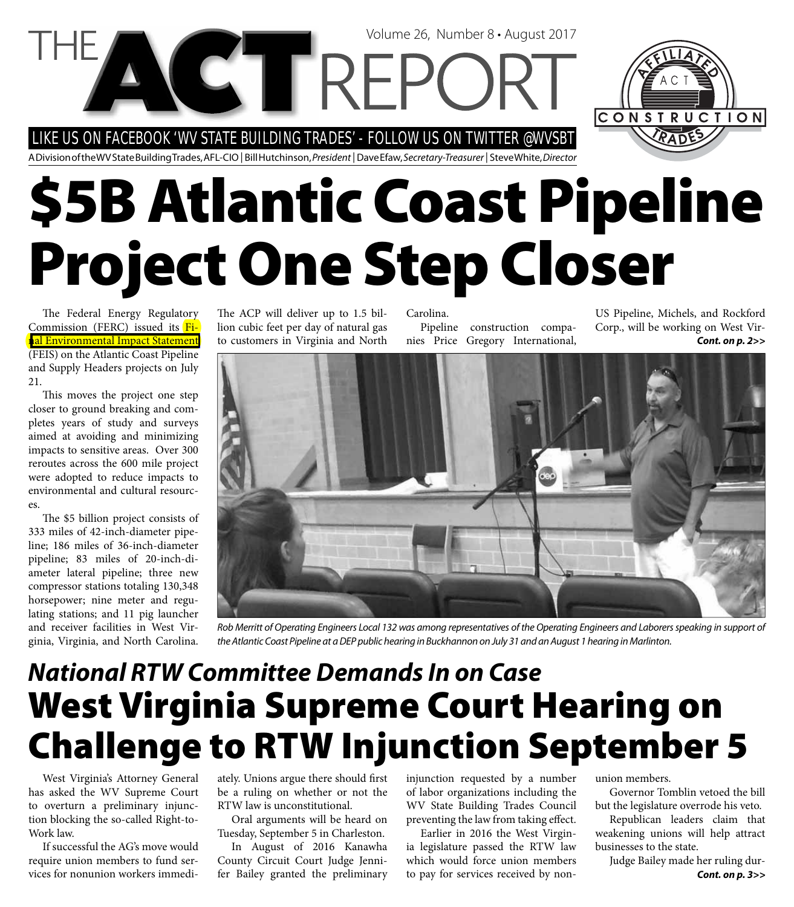LIKE US ON FACEBOOK 'WV STATE BUILDING TRADES' - FOLLOW US ON TWITTER @WVSBT

**VCTREP** 

A Division of the WV State Building Trades, AFL-CIO | Bill Hutchinson, President | Dave Efaw, Secretary-Treasurer | Steve White, Director

# **\$5B Atlantic Coast Pipeline Project One Step Closer**

The Federal Energy Regulatory Commission (FERC) issued its Fi[nal Environmental Impact Statement](https://www.ferc.gov/industries/gas/enviro/eis/2017/07-21-17-FEIS.asp)  (FEIS) on the Atlantic Coast Pipeline and Supply Headers projects on July 21.

This moves the project one step closer to ground breaking and completes years of study and surveys aimed at avoiding and minimizing impacts to sensitive areas. Over 300 reroutes across the 600 mile project were adopted to reduce impacts to environmental and cultural resources.

The \$5 billion project consists of 333 miles of 42-inch-diameter pipeline; 186 miles of 36-inch-diameter pipeline; 83 miles of 20-inch-diameter lateral pipeline; three new compressor stations totaling 130,348 horsepower; nine meter and regulating stations; and 11 pig launcher and receiver facilities in West Virginia, Virginia, and North Carolina.

The ACP will deliver up to 1.5 billion cubic feet per day of natural gas to customers in Virginia and North Carolina. Pipeline construction compa-

nies Price Gregory International,

Volume 26, Number 8 • August 2017

US Pipeline, Michels, and Rockford Corp., will be working on West Vir-*Cont. on p. 2>>*

CONSTRUCTION



Rob Merritt of Operating Engineers Local 132 was among representatives of the Operating Engineers and Laborers speaking in support of the Atlantic Coast Pipeline at a DEP public hearing in Buckhannon on July 31 and an August 1 hearing in Marlinton.

### **West Virginia Supreme Court Hearing on Challenge to RTW Injunction September 5** *National RTW Committee Demands In on Case*

West Virginia's Attorney General has asked the WV Supreme Court to overturn a preliminary injunction blocking the so-called Right-to-Work law.

If successful the AG's move would require union members to fund services for nonunion workers immediately. Unions argue there should first be a ruling on whether or not the RTW law is unconstitutional.

Oral arguments will be heard on Tuesday, September 5 in Charleston.

In August of 2016 Kanawha County Circuit Court Judge Jennifer Bailey granted the preliminary injunction requested by a number of labor organizations including the WV State Building Trades Council preventing the law from taking effect.

Earlier in 2016 the West Virginia legislature passed the RTW law which would force union members to pay for services received by nonunion members.

Governor Tomblin vetoed the bill but the legislature overrode his veto.

Republican leaders claim that weakening unions will help attract businesses to the state.

*Cont. on p. 3>>* Judge Bailey made her ruling dur-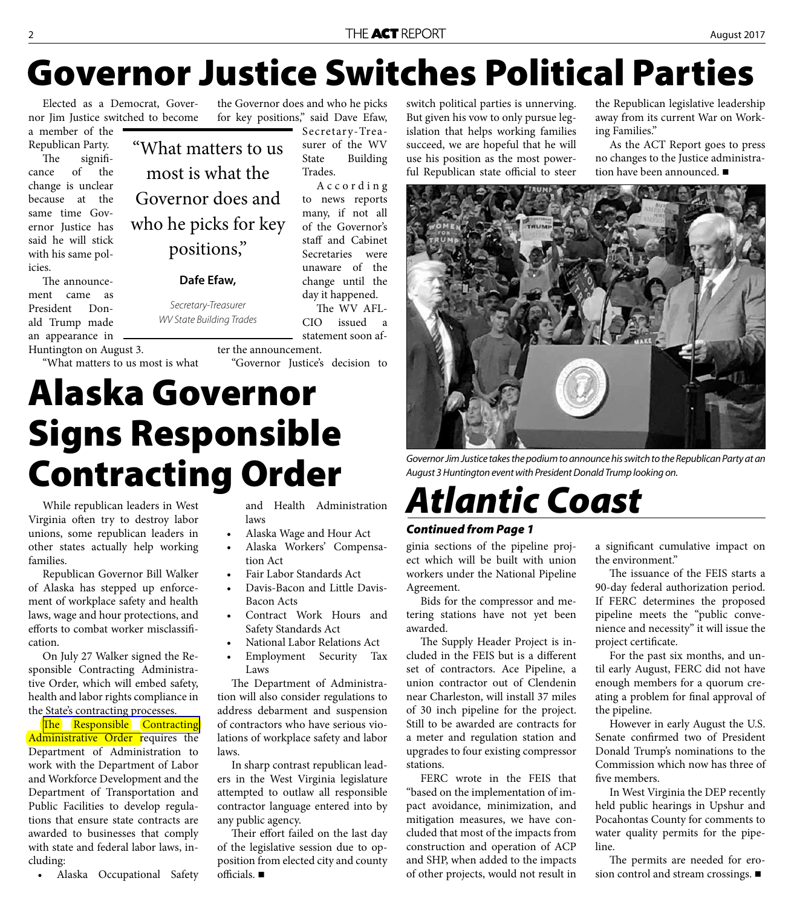## **Governor Justice Switches Political Parties**

Elected as a Democrat, Governor Jim Justice switched to become

a member of the Republican Party.

The significance of the change is unclear because at the same time Governor Justice has said he will stick with his same policies.

The announcement came as President Donald Trump made an appearance in

Huntington on August 3.

"What matters to us most is what

"What matters to us for key positions," said Dave Efaw, Secretary-Treasurer of the WV State Building Trades. A c c o r d i n g to news reports

#### **Dafe Efaw,**

Secretary-Treasurer WV State Building Trades

**Alaska Governor** 

**Signs Responsible** 

**Contracting Order**

change until the day it happened.

"Governor Justice's decision to

the Governor does and who he picks

and Health Administration

• Alaska Wage and Hour Act • Alaska Workers' Compensa-

• Fair Labor Standards Act • Davis-Bacon and Little Davis-

Safety Standards Act

Contract Work Hours and

• National Labor Relations Act • Employment Security Tax

The Department of Administration will also consider regulations to address debarment and suspension of contractors who have serious violations of workplace safety and labor

In sharp contrast republican leaders in the West Virginia legislature attempted to outlaw all responsible contractor language entered into by

Their effort failed on the last day of the legislative session due to opposition from elected city and county

The WV AFL-CIO issued a statement soon af-

many, if not all of the Governor's staff and Cabinet Secretaries were unaware of the

switch political parties is unnerving. But given his vow to only pursue legislation that helps working families succeed, we are hopeful that he will use his position as the most powerful Republican state official to steer

the Republican legislative leadership away from its current War on Working Families."

As the ACT Report goes to press no changes to the Justice administration have been announced. ■



Governor Jim Justice takes the podium to announce his switch to the Republican Party at an August 3 Huntington event with President Donald Trump looking on.

# *Atlantic Coast*

### *Continued from Page 1*

ginia sections of the pipeline project which will be built with union workers under the National Pipeline Agreement.

Bids for the compressor and metering stations have not yet been awarded.

The Supply Header Project is included in the FEIS but is a different set of contractors. Ace Pipeline, a union contractor out of Clendenin near Charleston, will install 37 miles of 30 inch pipeline for the project. Still to be awarded are contracts for a meter and regulation station and upgrades to four existing compressor stations.

FERC wrote in the FEIS that "based on the implementation of impact avoidance, minimization, and mitigation measures, we have concluded that most of the impacts from construction and operation of ACP and SHP, when added to the impacts of other projects, would not result in

a significant cumulative impact on the environment."

The issuance of the FEIS starts a 90-day federal authorization period. If FERC determines the proposed pipeline meets the "public convenience and necessity" it will issue the project certificate.

For the past six months, and until early August, FERC did not have enough members for a quorum creating a problem for final approval of the pipeline.

However in early August the U.S. Senate confirmed two of President Donald Trump's nominations to the Commission which now has three of five members

In West Virginia the DEP recently held public hearings in Upshur and Pocahontas County for comments to water quality permits for the pipeline.

The permits are needed for erosion control and stream crossings.

While republican leaders in West Virginia often try to destroy labor unions, some republican leaders in other states actually help working families.

Republican Governor Bill Walker of Alaska has stepped up enforcement of workplace safety and health laws, wage and hour protections, and efforts to combat worker misclassification.

On July 27 Walker signed the Responsible Contracting Administrative Order, which will embed safety, health and labor rights compliance in the State's contracting processes.

The Responsible Contracting Administrative Order requires the Department of Administration to work with the Department of Labor and Workforce Development and the Department of Transportation and Public Facilities to develop regulations that ensure state contracts are awarded to businesses that comply with state and federal labor laws, including:

• Alaska Occupational Safety

most is what the Governor does and who he picks for key positions,"

ter the announcement.

laws

tion Act

Bacon Acts

Laws

any public agency.

officials.  $\blacksquare$ 

laws.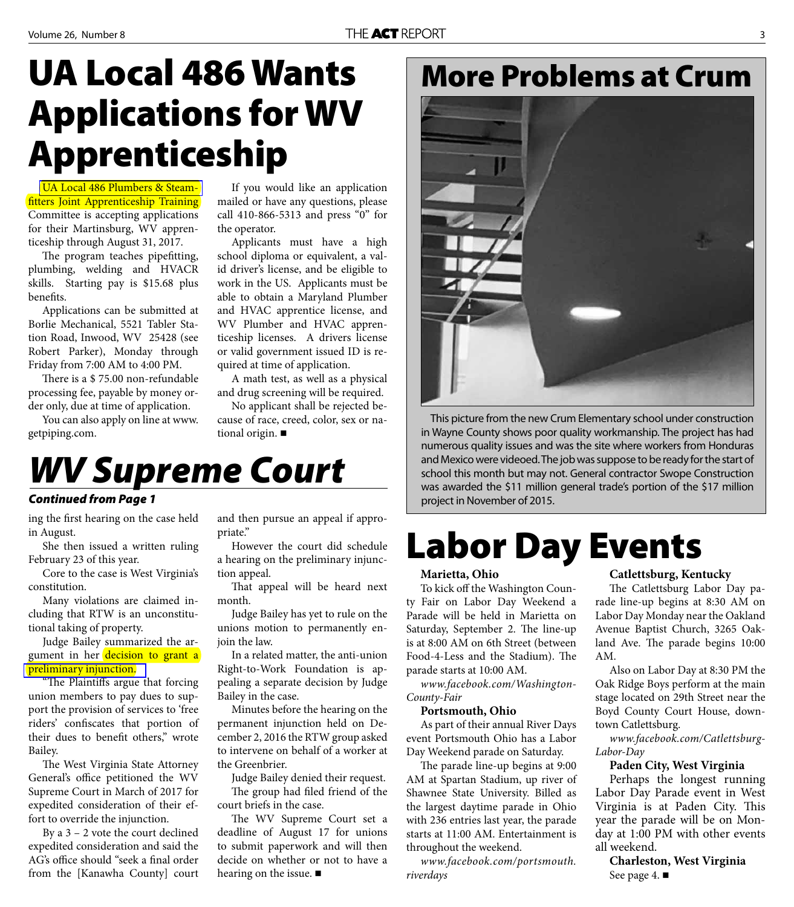## **UA Local 486 Wants Applications for WV Apprenticeship**

[UA Local 486 Plumbers & Steam](www.ualocal486.com/)fitters Joint Apprenticeship Training Committee is accepting applications for their Martinsburg, WV apprenticeship through August 31, 2017.

The program teaches pipefitting, plumbing, welding and HVACR skills. Starting pay is \$15.68 plus benefits.

Applications can be submitted at Borlie Mechanical, 5521 Tabler Station Road, Inwood, WV 25428 (see Robert Parker), Monday through Friday from 7:00 AM to 4:00 PM.

There is a \$75.00 non-refundable processing fee, payable by money order only, due at time of application.

You can also apply on line at www. getpiping.com.

If you would like an application mailed or have any questions, please call 410-866-5313 and press "0" for the operator.

Applicants must have a high school diploma or equivalent, a valid driver's license, and be eligible to work in the US. Applicants must be able to obtain a Maryland Plumber and HVAC apprentice license, and WV Plumber and HVAC apprenticeship licenses. A drivers license or valid government issued ID is required at time of application.

A math test, as well as a physical and drug screening will be required.

No applicant shall be rejected because of race, creed, color, sex or national origin.

### *WV Supreme Court*

#### *Continued from Page 1*

ing the first hearing on the case held in August.

She then issued a written ruling February 23 of this year.

Core to the case is West Virginia's constitution.

Many violations are claimed including that RTW is an unconstitutional taking of property.

Judge Bailey summarized the argument in her decision to grant a [preliminary injunction.](http://www.actwv.org/library/WV%20AFL%20CIO%20v%20Gov.%20Tomblin%20Superseding%20Order%20PI.pdf)

"The Plaintiffs argue that forcing union members to pay dues to support the provision of services to 'free riders' confiscates that portion of their dues to benefit others," wrote Bailey.

The West Virginia State Attorney General's office petitioned the WV Supreme Court in March of 2017 for expedited consideration of their effort to override the injunction.

By a 3 – 2 vote the court declined expedited consideration and said the AG's office should "seek a final order from the [Kanawha County] court and then pursue an appeal if appropriate."

However the court did schedule a hearing on the preliminary injunction appeal.

That appeal will be heard next month.

Judge Bailey has yet to rule on the unions motion to permanently enjoin the law.

In a related matter, the anti-union Right-to-Work Foundation is appealing a separate decision by Judge Bailey in the case.

Minutes before the hearing on the permanent injunction held on December 2, 2016 the RTW group asked to intervene on behalf of a worker at the Greenbrier.

Judge Bailey denied their request. The group had filed friend of the court briefs in the case.

The WV Supreme Court set a deadline of August 17 for unions to submit paperwork and will then decide on whether or not to have a hearing on the issue.

### **More Problems at Crum**



This picture from the new Crum Elementary school under construction in Wayne County shows poor quality workmanship. The project has had numerous quality issues and was the site where workers from Honduras and Mexico were videoed. The job was suppose to be ready for the start of school this month but may not. General contractor Swope Construction was awarded the \$11 million general trade's portion of the \$17 million project in November of 2015.

## **Labor Day Events**

#### **Marietta, Ohio**

To kick off the Washington County Fair on Labor Day Weekend a Parade will be held in Marietta on Saturday, September 2. The line-up is at 8:00 AM on 6th Street (between Food-4-Less and the Stadium). The parade starts at 10:00 AM.

*www.facebook.com/Washington-County-Fair*

#### **Portsmouth, Ohio**

As part of their annual River Days event Portsmouth Ohio has a Labor Day Weekend parade on Saturday.

The parade line-up begins at 9:00 AM at Spartan Stadium, up river of Shawnee State University. Billed as the largest daytime parade in Ohio with 236 entries last year, the parade starts at 11:00 AM. Entertainment is throughout the weekend.

*www.facebook.com/portsmouth. riverdays*

#### **Catlettsburg, Kentucky**

The Catlettsburg Labor Day parade line-up begins at 8:30 AM on Labor Day Monday near the Oakland Avenue Baptist Church, 3265 Oakland Ave. The parade begins 10:00 AM.

Also on Labor Day at 8:30 PM the Oak Ridge Boys perform at the main stage located on 29th Street near the Boyd County Court House, downtown Catlettsburg.

*www.facebook.com/Catlettsburg-Labor-Day*

#### **Paden City, West Virginia**

Perhaps the longest running Labor Day Parade event in West Virginia is at Paden City. This year the parade will be on Monday at 1:00 PM with other events all weekend.

**Charleston, West Virginia** See page 4. ■